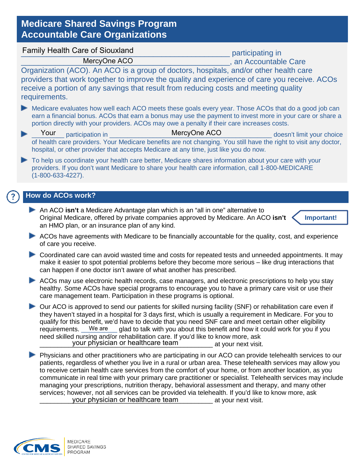## **Medicare Shared Savings Program Accountable Care Organizations**

| <b>Family Health Care of Siouxland</b>                                                                                                                                                                                 | participating in                                                                                                                                                                                                                                                                                                                                                                                                                                                                                                                                        |
|------------------------------------------------------------------------------------------------------------------------------------------------------------------------------------------------------------------------|---------------------------------------------------------------------------------------------------------------------------------------------------------------------------------------------------------------------------------------------------------------------------------------------------------------------------------------------------------------------------------------------------------------------------------------------------------------------------------------------------------------------------------------------------------|
| MercyOne ACO                                                                                                                                                                                                           | , an Accountable Care                                                                                                                                                                                                                                                                                                                                                                                                                                                                                                                                   |
| Organization (ACO). An ACO is a group of doctors, hospitals, and/or other health care<br>receive a portion of any savings that result from reducing costs and meeting quality<br>requirements.                         | providers that work together to improve the quality and experience of care you receive. ACOs                                                                                                                                                                                                                                                                                                                                                                                                                                                            |
| portion directly with your providers. ACOs may owe a penalty if their care increases costs.                                                                                                                            | Medicare evaluates how well each ACO meets these goals every year. Those ACOs that do a good job can<br>earn a financial bonus. ACOs that earn a bonus may use the payment to invest more in your care or share a                                                                                                                                                                                                                                                                                                                                       |
| Your<br>participation in the state of the state of the state of the state of the state of the state of the state of the<br>hospital, or other provider that accepts Medicare at any time, just like you do now.        | MercyOne ACO<br>doesn't limit your choice<br>of health care providers. Your Medicare benefits are not changing. You still have the right to visit any doctor,                                                                                                                                                                                                                                                                                                                                                                                           |
| providers. If you don't want Medicare to share your health care information, call 1-800-MEDICARE<br>$(1 - 800 - 633 - 4227)$ .                                                                                         | To help us coordinate your health care better, Medicare shares information about your care with your                                                                                                                                                                                                                                                                                                                                                                                                                                                    |
| How do ACOs work?                                                                                                                                                                                                      |                                                                                                                                                                                                                                                                                                                                                                                                                                                                                                                                                         |
|                                                                                                                                                                                                                        |                                                                                                                                                                                                                                                                                                                                                                                                                                                                                                                                                         |
| An ACO isn't a Medicare Advantage plan which is an "all in one" alternative to<br>Original Medicare, offered by private companies approved by Medicare. An ACO isn't<br>an HMO plan, or an insurance plan of any kind. | Important!                                                                                                                                                                                                                                                                                                                                                                                                                                                                                                                                              |
| of care you receive.                                                                                                                                                                                                   | ACOs have agreements with Medicare to be financially accountable for the quality, cost, and experience                                                                                                                                                                                                                                                                                                                                                                                                                                                  |
| can happen if one doctor isn't aware of what another has prescribed.                                                                                                                                                   | Coordinated care can avoid wasted time and costs for repeated tests and unneeded appointments. It may<br>make it easier to spot potential problems before they become more serious - like drug interactions that                                                                                                                                                                                                                                                                                                                                        |
| care management team. Participation in these programs is optional.                                                                                                                                                     | ACOs may use electronic health records, case managers, and electronic prescriptions to help you stay<br>healthy. Some ACOs have special programs to encourage you to have a primary care visit or use their                                                                                                                                                                                                                                                                                                                                             |
| requirements. We are<br>need skilled nursing and/or rehabilitation care. If you'd like to know more, ask<br>your physician or healthcare team                                                                          | Our ACO is approved to send our patients for skilled nursing facility (SNF) or rehabilitation care even if<br>they haven't stayed in a hospital for 3 days first, which is usually a requirement in Medicare. For you to<br>qualify for this benefit, we'd have to decide that you need SNF care and meet certain other eligibility<br>glad to talk with you about this benefit and how it could work for you if you<br>at your next visit.                                                                                                             |
|                                                                                                                                                                                                                        | Physicians and other practitioners who are participating in our ACO can provide telehealth services to our<br>patients, regardless of whether you live in a rural or urban area. These telehealth services may allow you<br>to receive certain health care services from the comfort of your home, or from another location, as you<br>communicate in real time with your primary care practitioner or specialist. Telehealth services may include<br>managing your proscriptions, putrition therapy, bohavioral assossment and therapy, and many other |

managing your prescriptions, nutrition therapy, behavioral assessment and therapy, and many other services; however, not all services can be provided via telehealth. If you'd like to know more, ask **EXECUTE:** Your physician or healthcare team execution at your next visit.